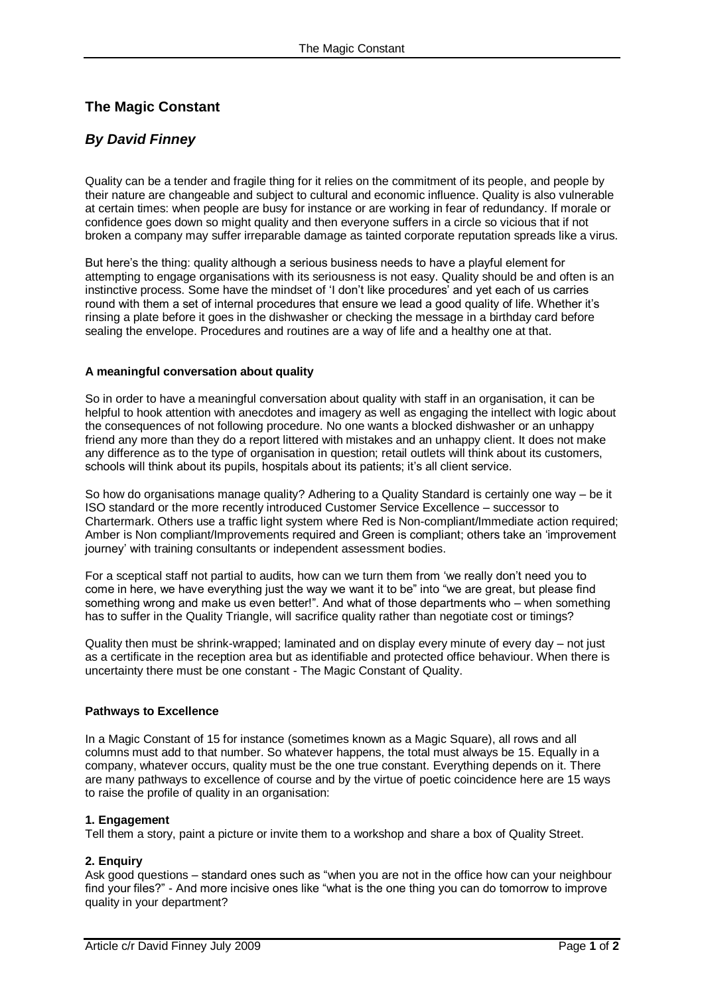# **The Magic Constant**

# *By David Finney*

Quality can be a tender and fragile thing for it relies on the commitment of its people, and people by their nature are changeable and subject to cultural and economic influence. Quality is also vulnerable at certain times: when people are busy for instance or are working in fear of redundancy. If morale or confidence goes down so might quality and then everyone suffers in a circle so vicious that if not broken a company may suffer irreparable damage as tainted corporate reputation spreads like a virus.

But here"s the thing: quality although a serious business needs to have a playful element for attempting to engage organisations with its seriousness is not easy. Quality should be and often is an instinctive process. Some have the mindset of "I don"t like procedures" and yet each of us carries round with them a set of internal procedures that ensure we lead a good quality of life. Whether it"s rinsing a plate before it goes in the dishwasher or checking the message in a birthday card before sealing the envelope. Procedures and routines are a way of life and a healthy one at that.

# **A meaningful conversation about quality**

So in order to have a meaningful conversation about quality with staff in an organisation, it can be helpful to hook attention with anecdotes and imagery as well as engaging the intellect with logic about the consequences of not following procedure. No one wants a blocked dishwasher or an unhappy friend any more than they do a report littered with mistakes and an unhappy client. It does not make any difference as to the type of organisation in question; retail outlets will think about its customers, schools will think about its pupils, hospitals about its patients; it's all client service.

So how do organisations manage quality? Adhering to a Quality Standard is certainly one way – be it ISO standard or the more recently introduced Customer Service Excellence – successor to Chartermark. Others use a traffic light system where Red is Non-compliant/Immediate action required; Amber is Non compliant/Improvements required and Green is compliant; others take an "improvement journey' with training consultants or independent assessment bodies.

For a sceptical staff not partial to audits, how can we turn them from "we really don"t need you to come in here, we have everything just the way we want it to be" into "we are great, but please find something wrong and make us even better!". And what of those departments who – when something has to suffer in the Quality Triangle, will sacrifice quality rather than negotiate cost or timings?

Quality then must be shrink-wrapped; laminated and on display every minute of every day – not just as a certificate in the reception area but as identifiable and protected office behaviour. When there is uncertainty there must be one constant - The Magic Constant of Quality.

# **Pathways to Excellence**

In a Magic Constant of 15 for instance (sometimes known as a Magic Square), all rows and all columns must add to that number. So whatever happens, the total must always be 15. Equally in a company, whatever occurs, quality must be the one true constant. Everything depends on it. There are many pathways to excellence of course and by the virtue of poetic coincidence here are 15 ways to raise the profile of quality in an organisation:

# **1. Engagement**

Tell them a story, paint a picture or invite them to a workshop and share a box of Quality Street.

# **2. Enquiry**

Ask good questions – standard ones such as "when you are not in the office how can your neighbour find your files?" - And more incisive ones like "what is the one thing you can do tomorrow to improve quality in your department?